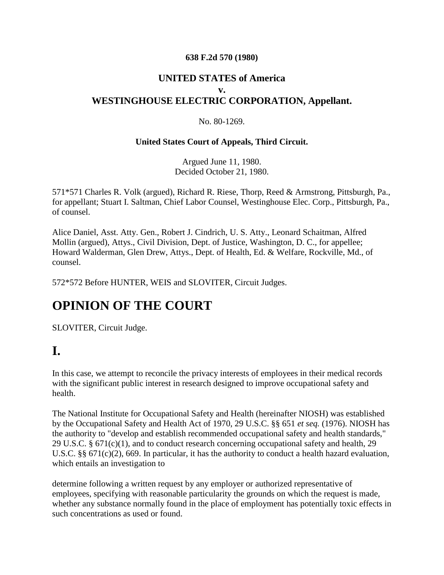#### **638 F.2d 570 (1980)**

#### **UNITED STATES of America v. WESTINGHOUSE ELECTRIC CORPORATION, Appellant.**

#### No. 80-1269.

#### **United States Court of Appeals, Third Circuit.**

Argued June 11, 1980. Decided October 21, 1980.

571\*571 Charles R. Volk (argued), Richard R. Riese, Thorp, Reed & Armstrong, Pittsburgh, Pa., for appellant; Stuart I. Saltman, Chief Labor Counsel, Westinghouse Elec. Corp., Pittsburgh, Pa., of counsel.

Alice Daniel, Asst. Atty. Gen., Robert J. Cindrich, U. S. Atty., Leonard Schaitman, Alfred Mollin (argued), Attys., Civil Division, Dept. of Justice, Washington, D. C., for appellee; Howard Walderman, Glen Drew, Attys., Dept. of Health, Ed. & Welfare, Rockville, Md., of counsel.

572\*572 Before HUNTER, WEIS and SLOVITER, Circuit Judges.

## **OPINION OF THE COURT**

SLOVITER, Circuit Judge.

## **I.**

In this case, we attempt to reconcile the privacy interests of employees in their medical records with the significant public interest in research designed to improve occupational safety and health.

The National Institute for Occupational Safety and Health (hereinafter NIOSH) was established by the Occupational Safety and Health Act of 1970, 29 U.S.C. §§ 651 *et seq.* (1976). NIOSH has the authority to "develop and establish recommended occupational safety and health standards," 29 U.S.C. § 671(c)(1), and to conduct research concerning occupational safety and health, 29 U.S.C. §§ 671(c)(2), 669. In particular, it has the authority to conduct a health hazard evaluation, which entails an investigation to

determine following a written request by any employer or authorized representative of employees, specifying with reasonable particularity the grounds on which the request is made, whether any substance normally found in the place of employment has potentially toxic effects in such concentrations as used or found.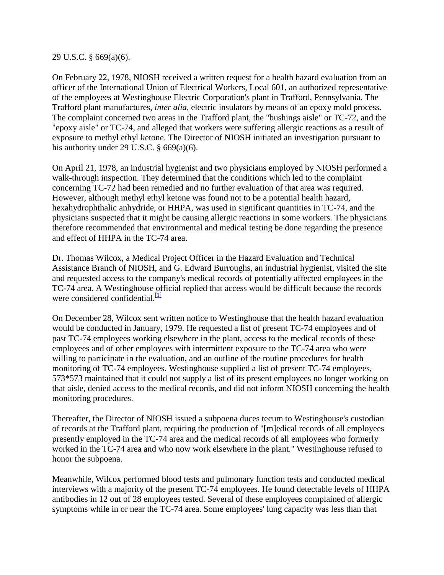29 U.S.C. § 669(a)(6).

On February 22, 1978, NIOSH received a written request for a health hazard evaluation from an officer of the International Union of Electrical Workers, Local 601, an authorized representative of the employees at Westinghouse Electric Corporation's plant in Trafford, Pennsylvania. The Trafford plant manufactures, *inter alia,* electric insulators by means of an epoxy mold process. The complaint concerned two areas in the Trafford plant, the "bushings aisle" or TC-72, and the "epoxy aisle" or TC-74, and alleged that workers were suffering allergic reactions as a result of exposure to methyl ethyl ketone. The Director of NIOSH initiated an investigation pursuant to his authority under 29 U.S.C.  $\S$  669(a)(6).

On April 21, 1978, an industrial hygienist and two physicians employed by NIOSH performed a walk-through inspection. They determined that the conditions which led to the complaint concerning TC-72 had been remedied and no further evaluation of that area was required. However, although methyl ethyl ketone was found not to be a potential health hazard, hexahydrophthalic anhydride, or HHPA, was used in significant quantities in TC-74, and the physicians suspected that it might be causing allergic reactions in some workers. The physicians therefore recommended that environmental and medical testing be done regarding the presence and effect of HHPA in the TC-74 area.

Dr. Thomas Wilcox, a Medical Project Officer in the Hazard Evaluation and Technical Assistance Branch of NIOSH, and G. Edward Burroughs, an industrial hygienist, visited the site and requested access to the company's medical records of potentially affected employees in the TC-74 area. A Westinghouse official replied that access would be difficult because the records were considered confidential. $\frac{11}{11}$ 

On December 28, Wilcox sent written notice to Westinghouse that the health hazard evaluation would be conducted in January, 1979. He requested a list of present TC-74 employees and of past TC-74 employees working elsewhere in the plant, access to the medical records of these employees and of other employees with intermittent exposure to the TC-74 area who were willing to participate in the evaluation, and an outline of the routine procedures for health monitoring of TC-74 employees. Westinghouse supplied a list of present TC-74 employees, 573\*573 maintained that it could not supply a list of its present employees no longer working on that aisle, denied access to the medical records, and did not inform NIOSH concerning the health monitoring procedures.

Thereafter, the Director of NIOSH issued a subpoena duces tecum to Westinghouse's custodian of records at the Trafford plant, requiring the production of "[m]edical records of all employees presently employed in the TC-74 area and the medical records of all employees who formerly worked in the TC-74 area and who now work elsewhere in the plant." Westinghouse refused to honor the subpoena.

Meanwhile, Wilcox performed blood tests and pulmonary function tests and conducted medical interviews with a majority of the present TC-74 employees. He found detectable levels of HHPA antibodies in 12 out of 28 employees tested. Several of these employees complained of allergic symptoms while in or near the TC-74 area. Some employees' lung capacity was less than that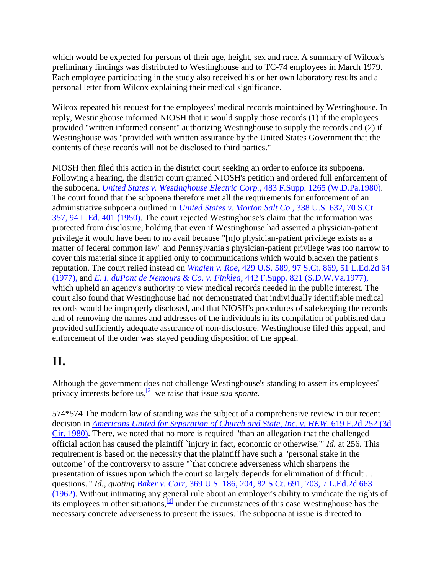which would be expected for persons of their age, height, sex and race. A summary of Wilcox's preliminary findings was distributed to Westinghouse and to TC-74 employees in March 1979. Each employee participating in the study also received his or her own laboratory results and a personal letter from Wilcox explaining their medical significance.

Wilcox repeated his request for the employees' medical records maintained by Westinghouse. In reply, Westinghouse informed NIOSH that it would supply those records (1) if the employees provided "written informed consent" authorizing Westinghouse to supply the records and (2) if Westinghouse was "provided with written assurance by the United States Government that the contents of these records will not be disclosed to third parties."

NIOSH then filed this action in the district court seeking an order to enforce its subpoena. Following a hearing, the district court granted NIOSH's petition and ordered full enforcement of the subpoena. *[United States v. Westinghouse Electric Corp.,](http://scholar.google.co.in/scholar_case?case=9445794789248964695&q=3rd+Cir+1980+-+United+States+v.+Westinghouse+Electric+Corporation&hl=en&as_sdt=2,5&scilh=0)* 483 F.Supp. 1265 (W.D.Pa.1980). The court found that the subpoena therefore met all the requirements for enforcement of an administrative subpoena outlined in *[United States v. Morton Salt Co.,](http://scholar.google.co.in/scholar_case?case=11917813980487767763&q=3rd+Cir+1980+-+United+States+v.+Westinghouse+Electric+Corporation&hl=en&as_sdt=2,5&scilh=0)* 338 U.S. 632, 70 S.Ct. [357, 94 L.Ed. 401 \(1950\).](http://scholar.google.co.in/scholar_case?case=11917813980487767763&q=3rd+Cir+1980+-+United+States+v.+Westinghouse+Electric+Corporation&hl=en&as_sdt=2,5&scilh=0) The court rejected Westinghouse's claim that the information was protected from disclosure, holding that even if Westinghouse had asserted a physician-patient privilege it would have been to no avail because "[n]o physician-patient privilege exists as a matter of federal common law" and Pennsylvania's physician-patient privilege was too narrow to cover this material since it applied only to communications which would blacken the patient's reputation. The court relied instead on *Whalen v. Roe,* [429 U.S. 589, 97 S.Ct. 869, 51 L.Ed.2d 64](http://scholar.google.co.in/scholar_case?case=8555735987895894452&q=3rd+Cir+1980+-+United+States+v.+Westinghouse+Electric+Corporation&hl=en&as_sdt=2,5&scilh=0)  [\(1977\),](http://scholar.google.co.in/scholar_case?case=8555735987895894452&q=3rd+Cir+1980+-+United+States+v.+Westinghouse+Electric+Corporation&hl=en&as_sdt=2,5&scilh=0) and *[E. I. duPont de Nemours & Co. v. Finklea,](http://scholar.google.co.in/scholar_case?case=15484120327512437904&q=3rd+Cir+1980+-+United+States+v.+Westinghouse+Electric+Corporation&hl=en&as_sdt=2,5&scilh=0)* 442 F.Supp. 821 (S.D.W.Va.1977), which upheld an agency's authority to view medical records needed in the public interest. The court also found that Westinghouse had not demonstrated that individually identifiable medical records would be improperly disclosed, and that NIOSH's procedures of safekeeping the records and of removing the names and addresses of the individuals in its compilation of published data provided sufficiently adequate assurance of non-disclosure. Westinghouse filed this appeal, and enforcement of the order was stayed pending disposition of the appeal.

## **II.**

Although the government does not challenge Westinghouse's standing to assert its employees' privacy interests before us,[\[2\]](http://scholar.google.co.in/scholar_case?q=3rd+Cir+1980+-+United+States+v.+Westinghouse+Electric+Corporation&hl=en&as_sdt=2,5&case=10617585320101639909&scilh=0#[2]) we raise that issue *sua sponte.*

574\*574 The modern law of standing was the subject of a comprehensive review in our recent decision in *[Americans United for Separation of Church and State, Inc. v. HEW,](http://scholar.google.co.in/scholar_case?case=1042784604964336478&q=3rd+Cir+1980+-+United+States+v.+Westinghouse+Electric+Corporation&hl=en&as_sdt=2,5&scilh=0)* 619 F.2d 252 (3d [Cir. 1980\).](http://scholar.google.co.in/scholar_case?case=1042784604964336478&q=3rd+Cir+1980+-+United+States+v.+Westinghouse+Electric+Corporation&hl=en&as_sdt=2,5&scilh=0) There, we noted that no more is required "than an allegation that the challenged official action has caused the plaintiff `injury in fact, economic or otherwise.'" *Id.* at 256. This requirement is based on the necessity that the plaintiff have such a "personal stake in the outcome" of the controversy to assure "`that concrete adverseness which sharpens the presentation of issues upon which the court so largely depends for elimination of difficult ... questions.'" *Id., quoting Baker v. Carr,* [369 U.S. 186, 204, 82 S.Ct. 691, 703, 7 L.Ed.2d 663](http://scholar.google.co.in/scholar_case?case=6066081450900314197&q=3rd+Cir+1980+-+United+States+v.+Westinghouse+Electric+Corporation&hl=en&as_sdt=2,5&scilh=0)  [\(1962\).](http://scholar.google.co.in/scholar_case?case=6066081450900314197&q=3rd+Cir+1980+-+United+States+v.+Westinghouse+Electric+Corporation&hl=en&as_sdt=2,5&scilh=0) Without intimating any general rule about an employer's ability to vindicate the rights of its employees in other situations,  $\frac{3}{3}$  under the circumstances of this case Westinghouse has the necessary concrete adverseness to present the issues. The subpoena at issue is directed to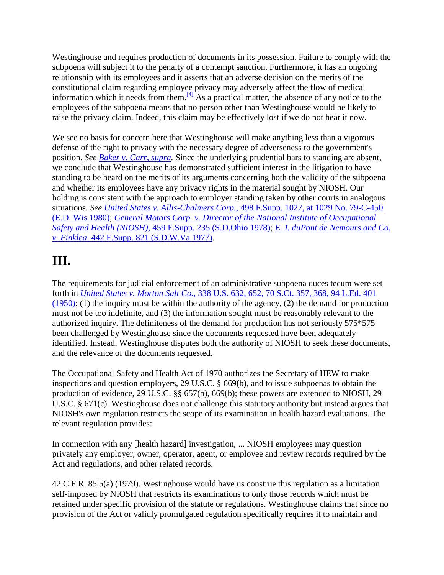Westinghouse and requires production of documents in its possession. Failure to comply with the subpoena will subject it to the penalty of a contempt sanction. Furthermore, it has an ongoing relationship with its employees and it asserts that an adverse decision on the merits of the constitutional claim regarding employee privacy may adversely affect the flow of medical information which it needs from them.<sup>[\[4\]](http://scholar.google.co.in/scholar_case?q=3rd+Cir+1980+-+United+States+v.+Westinghouse+Electric+Corporation&hl=en&as_sdt=2,5&case=10617585320101639909&scilh=0#[4])</sup> As a practical matter, the absence of any notice to the employees of the subpoena means that no person other than Westinghouse would be likely to raise the privacy claim. Indeed, this claim may be effectively lost if we do not hear it now.

We see no basis for concern here that Westinghouse will make anything less than a vigorous defense of the right to privacy with the necessary degree of adverseness to the government's position. *See [Baker v. Carr, supra.](http://scholar.google.co.in/scholar_case?case=6066081450900314197&q=3rd+Cir+1980+-+United+States+v.+Westinghouse+Electric+Corporation&hl=en&as_sdt=2,5&scilh=0)* Since the underlying prudential bars to standing are absent, we conclude that Westinghouse has demonstrated sufficient interest in the litigation to have standing to be heard on the merits of its arguments concerning both the validity of the subpoena and whether its employees have any privacy rights in the material sought by NIOSH. Our holding is consistent with the approach to employer standing taken by other courts in analogous situations. *See United States v. Allis-Chalmers Corp.,* [498 F.Supp. 1027, at 1029 No. 79-C-450](http://scholar.google.co.in/scholar_case?case=12580104573297078770&q=3rd+Cir+1980+-+United+States+v.+Westinghouse+Electric+Corporation&hl=en&as_sdt=2,5&scilh=0)  [\(E.D. Wis.1980\);](http://scholar.google.co.in/scholar_case?case=12580104573297078770&q=3rd+Cir+1980+-+United+States+v.+Westinghouse+Electric+Corporation&hl=en&as_sdt=2,5&scilh=0) *[General Motors Corp. v. Director of the National Institute of Occupational](http://scholar.google.co.in/scholar_case?case=11692381941365084758&q=3rd+Cir+1980+-+United+States+v.+Westinghouse+Electric+Corporation&hl=en&as_sdt=2,5&scilh=0)  Safety and Health (NIOSH),* [459 F.Supp. 235 \(S.D.Ohio 1978\);](http://scholar.google.co.in/scholar_case?case=11692381941365084758&q=3rd+Cir+1980+-+United+States+v.+Westinghouse+Electric+Corporation&hl=en&as_sdt=2,5&scilh=0) *[E. I. duPont de Nemours and Co.](http://scholar.google.co.in/scholar_case?case=15484120327512437904&q=3rd+Cir+1980+-+United+States+v.+Westinghouse+Electric+Corporation&hl=en&as_sdt=2,5&scilh=0)  v. Finklea,* [442 F.Supp. 821 \(S.D.W.Va.1977\).](http://scholar.google.co.in/scholar_case?case=15484120327512437904&q=3rd+Cir+1980+-+United+States+v.+Westinghouse+Electric+Corporation&hl=en&as_sdt=2,5&scilh=0)

# **III.**

The requirements for judicial enforcement of an administrative subpoena duces tecum were set forth in *United States v. Morton Salt Co.,* [338 U.S. 632, 652, 70 S.Ct. 357, 368, 94 L.Ed. 401](http://scholar.google.co.in/scholar_case?case=11917813980487767763&q=3rd+Cir+1980+-+United+States+v.+Westinghouse+Electric+Corporation&hl=en&as_sdt=2,5&scilh=0)   $(1950)$ : (1) the inquiry must be within the authority of the agency, (2) the demand for production must not be too indefinite, and (3) the information sought must be reasonably relevant to the authorized inquiry. The definiteness of the demand for production has not seriously 575\*575 been challenged by Westinghouse since the documents requested have been adequately identified. Instead, Westinghouse disputes both the authority of NIOSH to seek these documents, and the relevance of the documents requested.

The Occupational Safety and Health Act of 1970 authorizes the Secretary of HEW to make inspections and question employers, 29 U.S.C. § 669(b), and to issue subpoenas to obtain the production of evidence, 29 U.S.C. §§ 657(b), 669(b); these powers are extended to NIOSH, 29 U.S.C. § 671(c). Westinghouse does not challenge this statutory authority but instead argues that NIOSH's own regulation restricts the scope of its examination in health hazard evaluations. The relevant regulation provides:

In connection with any [health hazard] investigation, ... NIOSH employees may question privately any employer, owner, operator, agent, or employee and review records required by the Act and regulations, and other related records.

42 C.F.R. 85.5(a) (1979). Westinghouse would have us construe this regulation as a limitation self-imposed by NIOSH that restricts its examinations to only those records which must be retained under specific provision of the statute or regulations. Westinghouse claims that since no provision of the Act or validly promulgated regulation specifically requires it to maintain and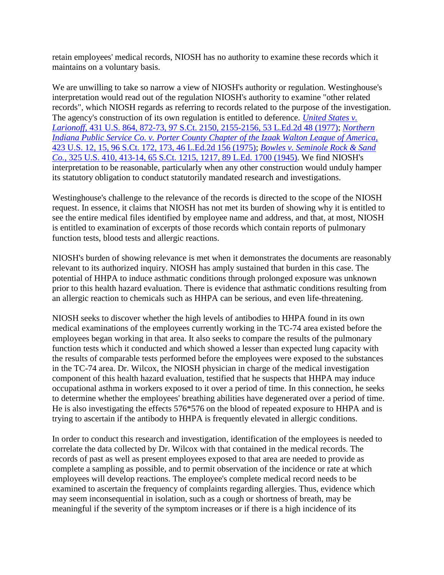retain employees' medical records, NIOSH has no authority to examine these records which it maintains on a voluntary basis.

We are unwilling to take so narrow a view of NIOSH's authority or regulation. Westinghouse's interpretation would read out of the regulation NIOSH's authority to examine "other related records", which NIOSH regards as referring to records related to the purpose of the investigation. The agency's construction of its own regulation is entitled to deference. *[United States v.](http://scholar.google.co.in/scholar_case?case=12209038508675432442&q=3rd+Cir+1980+-+United+States+v.+Westinghouse+Electric+Corporation&hl=en&as_sdt=2,5&scilh=0)  Larionoff,* [431 U.S. 864, 872-73, 97 S.Ct. 2150, 2155-2156, 53 L.Ed.2d 48 \(1977\);](http://scholar.google.co.in/scholar_case?case=12209038508675432442&q=3rd+Cir+1980+-+United+States+v.+Westinghouse+Electric+Corporation&hl=en&as_sdt=2,5&scilh=0) *[Northern](http://scholar.google.co.in/scholar_case?case=5823719238055550323&q=3rd+Cir+1980+-+United+States+v.+Westinghouse+Electric+Corporation&hl=en&as_sdt=2,5&scilh=0)  [Indiana Public Service Co. v. Porter County Chapter of the Izaak Walton League of America,](http://scholar.google.co.in/scholar_case?case=5823719238055550323&q=3rd+Cir+1980+-+United+States+v.+Westinghouse+Electric+Corporation&hl=en&as_sdt=2,5&scilh=0)* [423 U.S. 12, 15, 96 S.Ct. 172, 173, 46 L.Ed.2d 156 \(1975\);](http://scholar.google.co.in/scholar_case?case=5823719238055550323&q=3rd+Cir+1980+-+United+States+v.+Westinghouse+Electric+Corporation&hl=en&as_sdt=2,5&scilh=0) *[Bowles v. Seminole Rock & Sand](http://scholar.google.co.in/scholar_case?case=7050770903127516716&q=3rd+Cir+1980+-+United+States+v.+Westinghouse+Electric+Corporation&hl=en&as_sdt=2,5&scilh=0)  Co.,* [325 U.S. 410, 413-14, 65 S.Ct. 1215, 1217, 89 L.Ed. 1700 \(1945\).](http://scholar.google.co.in/scholar_case?case=7050770903127516716&q=3rd+Cir+1980+-+United+States+v.+Westinghouse+Electric+Corporation&hl=en&as_sdt=2,5&scilh=0) We find NIOSH's interpretation to be reasonable, particularly when any other construction would unduly hamper its statutory obligation to conduct statutorily mandated research and investigations.

Westinghouse's challenge to the relevance of the records is directed to the scope of the NIOSH request. In essence, it claims that NIOSH has not met its burden of showing why it is entitled to see the entire medical files identified by employee name and address, and that, at most, NIOSH is entitled to examination of excerpts of those records which contain reports of pulmonary function tests, blood tests and allergic reactions.

NIOSH's burden of showing relevance is met when it demonstrates the documents are reasonably relevant to its authorized inquiry. NIOSH has amply sustained that burden in this case. The potential of HHPA to induce asthmatic conditions through prolonged exposure was unknown prior to this health hazard evaluation. There is evidence that asthmatic conditions resulting from an allergic reaction to chemicals such as HHPA can be serious, and even life-threatening.

NIOSH seeks to discover whether the high levels of antibodies to HHPA found in its own medical examinations of the employees currently working in the TC-74 area existed before the employees began working in that area. It also seeks to compare the results of the pulmonary function tests which it conducted and which showed a lesser than expected lung capacity with the results of comparable tests performed before the employees were exposed to the substances in the TC-74 area. Dr. Wilcox, the NIOSH physician in charge of the medical investigation component of this health hazard evaluation, testified that he suspects that HHPA may induce occupational asthma in workers exposed to it over a period of time. In this connection, he seeks to determine whether the employees' breathing abilities have degenerated over a period of time. He is also investigating the effects 576\*576 on the blood of repeated exposure to HHPA and is trying to ascertain if the antibody to HHPA is frequently elevated in allergic conditions.

In order to conduct this research and investigation, identification of the employees is needed to correlate the data collected by Dr. Wilcox with that contained in the medical records. The records of past as well as present employees exposed to that area are needed to provide as complete a sampling as possible, and to permit observation of the incidence or rate at which employees will develop reactions. The employee's complete medical record needs to be examined to ascertain the frequency of complaints regarding allergies. Thus, evidence which may seem inconsequential in isolation, such as a cough or shortness of breath, may be meaningful if the severity of the symptom increases or if there is a high incidence of its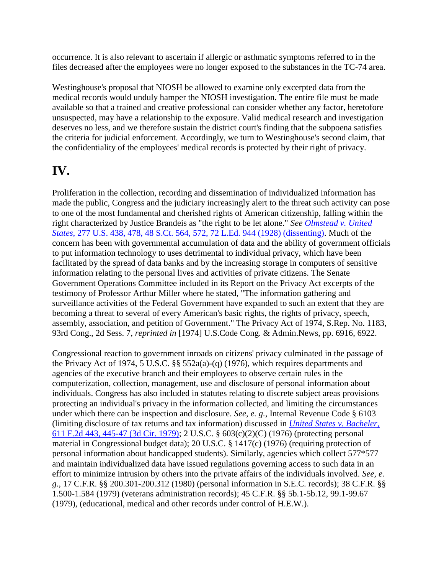occurrence. It is also relevant to ascertain if allergic or asthmatic symptoms referred to in the files decreased after the employees were no longer exposed to the substances in the TC-74 area.

Westinghouse's proposal that NIOSH be allowed to examine only excerpted data from the medical records would unduly hamper the NIOSH investigation. The entire file must be made available so that a trained and creative professional can consider whether any factor, heretofore unsuspected, may have a relationship to the exposure. Valid medical research and investigation deserves no less, and we therefore sustain the district court's finding that the subpoena satisfies the criteria for judicial enforcement. Accordingly, we turn to Westinghouse's second claim, that the confidentiality of the employees' medical records is protected by their right of privacy.

## **IV.**

Proliferation in the collection, recording and dissemination of individualized information has made the public, Congress and the judiciary increasingly alert to the threat such activity can pose to one of the most fundamental and cherished rights of American citizenship, falling within the right characterized by Justice Brandeis as "the right to be let alone." *See [Olmstead v. United](http://scholar.google.co.in/scholar_case?case=5577544660194763070&q=3rd+Cir+1980+-+United+States+v.+Westinghouse+Electric+Corporation&hl=en&as_sdt=2,5&scilh=0)  States,* [277 U.S. 438, 478, 48 S.Ct. 564, 572, 72 L.Ed. 944 \(1928\) \(dissenting\).](http://scholar.google.co.in/scholar_case?case=5577544660194763070&q=3rd+Cir+1980+-+United+States+v.+Westinghouse+Electric+Corporation&hl=en&as_sdt=2,5&scilh=0) Much of the concern has been with governmental accumulation of data and the ability of government officials to put information technology to uses detrimental to individual privacy, which have been facilitated by the spread of data banks and by the increasing storage in computers of sensitive information relating to the personal lives and activities of private citizens. The Senate Government Operations Committee included in its Report on the Privacy Act excerpts of the testimony of Professor Arthur Miller where he stated, "The information gathering and surveillance activities of the Federal Government have expanded to such an extent that they are becoming a threat to several of every American's basic rights, the rights of privacy, speech, assembly, association, and petition of Government." The Privacy Act of 1974, S.Rep. No. 1183, 93rd Cong., 2d Sess. 7, *reprinted in* [1974] U.S.Code Cong. & Admin.News, pp. 6916, 6922.

Congressional reaction to government inroads on citizens' privacy culminated in the passage of the Privacy Act of 1974, 5 U.S.C. §§ 552a(a)-(q) (1976), which requires departments and agencies of the executive branch and their employees to observe certain rules in the computerization, collection, management, use and disclosure of personal information about individuals. Congress has also included in statutes relating to discrete subject areas provisions protecting an individual's privacy in the information collected, and limiting the circumstances under which there can be inspection and disclosure. *See, e. g.,* Internal Revenue Code § 6103 (limiting disclosure of tax returns and tax information) discussed in *[United States v. Bacheler,](http://scholar.google.co.in/scholar_case?case=1528003343445401189&q=3rd+Cir+1980+-+United+States+v.+Westinghouse+Electric+Corporation&hl=en&as_sdt=2,5&scilh=0)* [611 F.2d 443, 445-47 \(3d Cir. 1979\);](http://scholar.google.co.in/scholar_case?case=1528003343445401189&q=3rd+Cir+1980+-+United+States+v.+Westinghouse+Electric+Corporation&hl=en&as_sdt=2,5&scilh=0) 2 U.S.C. § 603(c)(2)(C) (1976) (protecting personal material in Congressional budget data); 20 U.S.C. § 1417(c) (1976) (requiring protection of personal information about handicapped students). Similarly, agencies which collect 577\*577 and maintain individualized data have issued regulations governing access to such data in an effort to minimize intrusion by others into the private affairs of the individuals involved. *See, e. g.,* 17 C.F.R. §§ 200.301-200.312 (1980) (personal information in S.E.C. records); 38 C.F.R. §§ 1.500-1.584 (1979) (veterans administration records); 45 C.F.R. §§ 5b.1-5b.12, 99.1-99.67 (1979), (educational, medical and other records under control of H.E.W.).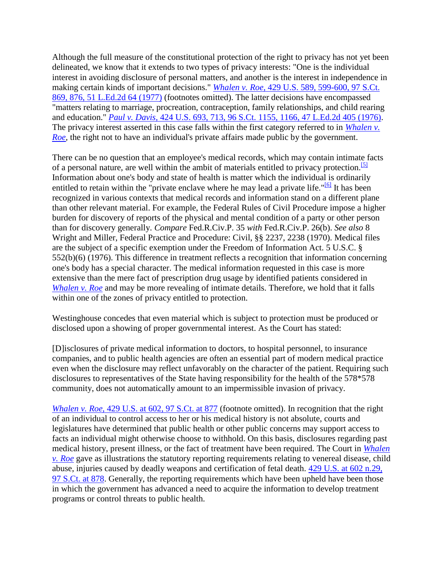Although the full measure of the constitutional protection of the right to privacy has not yet been delineated, we know that it extends to two types of privacy interests: "One is the individual interest in avoiding disclosure of personal matters, and another is the interest in independence in making certain kinds of important decisions." *Whalen v. Roe,* [429 U.S. 589, 599-600, 97 S.Ct.](http://scholar.google.co.in/scholar_case?case=8555735987895894452&q=3rd+Cir+1980+-+United+States+v.+Westinghouse+Electric+Corporation&hl=en&as_sdt=2,5&scilh=0)  [869, 876, 51 L.Ed.2d 64 \(1977\)](http://scholar.google.co.in/scholar_case?case=8555735987895894452&q=3rd+Cir+1980+-+United+States+v.+Westinghouse+Electric+Corporation&hl=en&as_sdt=2,5&scilh=0) (footnotes omitted). The latter decisions have encompassed "matters relating to marriage, procreation, contraception, family relationships, and child rearing and education." *Paul v. Davis,* [424 U.S. 693, 713, 96 S.Ct. 1155, 1166, 47 L.Ed.2d 405 \(1976\).](http://scholar.google.co.in/scholar_case?case=6713242460336491904&q=3rd+Cir+1980+-+United+States+v.+Westinghouse+Electric+Corporation&hl=en&as_sdt=2,5&scilh=0) The privacy interest asserted in this case falls within the first category referred to in *[Whalen v.](http://scholar.google.co.in/scholar_case?case=8555735987895894452&q=3rd+Cir+1980+-+United+States+v.+Westinghouse+Electric+Corporation&hl=en&as_sdt=2,5&scilh=0)  [Roe,](http://scholar.google.co.in/scholar_case?case=8555735987895894452&q=3rd+Cir+1980+-+United+States+v.+Westinghouse+Electric+Corporation&hl=en&as_sdt=2,5&scilh=0)* the right not to have an individual's private affairs made public by the government.

There can be no question that an employee's medical records, which may contain intimate facts of a personal nature, are well within the ambit of materials entitled to privacy protection.<sup>[\[5\]](http://scholar.google.co.in/scholar_case?q=3rd+Cir+1980+-+United+States+v.+Westinghouse+Electric+Corporation&hl=en&as_sdt=2,5&case=10617585320101639909&scilh=0#[5])</sup> Information about one's body and state of health is matter which the individual is ordinarily entitled to retain within the "private enclave where he may lead a private life." $\frac{16}{16}$  It has been recognized in various contexts that medical records and information stand on a different plane than other relevant material. For example, the Federal Rules of Civil Procedure impose a higher burden for discovery of reports of the physical and mental condition of a party or other person than for discovery generally. *Compare* Fed.R.Civ.P. 35 *with* Fed.R.Civ.P. 26(b). *See also* 8 Wright and Miller, Federal Practice and Procedure: Civil, §§ 2237, 2238 (1970). Medical files are the subject of a specific exemption under the Freedom of Information Act. 5 U.S.C. § 552(b)(6) (1976). This difference in treatment reflects a recognition that information concerning one's body has a special character. The medical information requested in this case is more extensive than the mere fact of prescription drug usage by identified patients considered in *[Whalen v. Roe](http://scholar.google.co.in/scholar_case?case=8555735987895894452&q=3rd+Cir+1980+-+United+States+v.+Westinghouse+Electric+Corporation&hl=en&as_sdt=2,5&scilh=0)* and may be more revealing of intimate details. Therefore, we hold that it falls within one of the zones of privacy entitled to protection.

Westinghouse concedes that even material which is subject to protection must be produced or disclosed upon a showing of proper governmental interest. As the Court has stated:

[D]isclosures of private medical information to doctors, to hospital personnel, to insurance companies, and to public health agencies are often an essential part of modern medical practice even when the disclosure may reflect unfavorably on the character of the patient. Requiring such disclosures to representatives of the State having responsibility for the health of the 578\*578 community, does not automatically amount to an impermissible invasion of privacy.

*Whalen v. Roe,* [429 U.S. at 602, 97 S.Ct. at 877](http://scholar.google.co.in/scholar_case?case=8555735987895894452&q=3rd+Cir+1980+-+United+States+v.+Westinghouse+Electric+Corporation&hl=en&as_sdt=2,5&scilh=0) (footnote omitted). In recognition that the right of an individual to control access to her or his medical history is not absolute, courts and legislatures have determined that public health or other public concerns may support access to facts an individual might otherwise choose to withhold. On this basis, disclosures regarding past medical history, present illness, or the fact of treatment have been required. The Court in *[Whalen](http://scholar.google.co.in/scholar_case?case=8555735987895894452&q=3rd+Cir+1980+-+United+States+v.+Westinghouse+Electric+Corporation&hl=en&as_sdt=2,5&scilh=0)  [v. Roe](http://scholar.google.co.in/scholar_case?case=8555735987895894452&q=3rd+Cir+1980+-+United+States+v.+Westinghouse+Electric+Corporation&hl=en&as_sdt=2,5&scilh=0)* gave as illustrations the statutory reporting requirements relating to venereal disease, child abuse, injuries caused by deadly weapons and certification of fetal death. [429 U.S. at 602 n.29,](http://scholar.google.co.in/scholar_case?case=8555735987895894452&q=3rd+Cir+1980+-+United+States+v.+Westinghouse+Electric+Corporation&hl=en&as_sdt=2,5&scilh=0)  [97 S.Ct. at 878.](http://scholar.google.co.in/scholar_case?case=8555735987895894452&q=3rd+Cir+1980+-+United+States+v.+Westinghouse+Electric+Corporation&hl=en&as_sdt=2,5&scilh=0) Generally, the reporting requirements which have been upheld have been those in which the government has advanced a need to acquire the information to develop treatment programs or control threats to public health.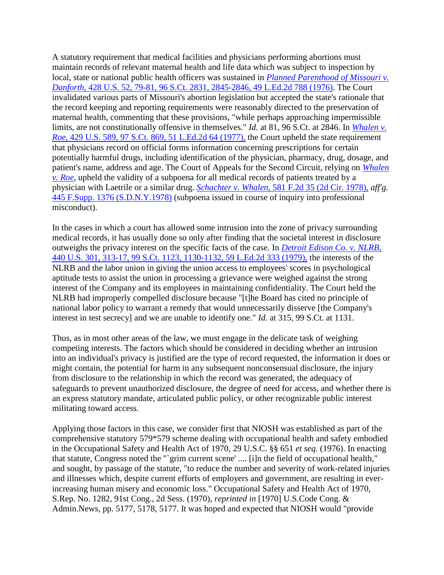A statutory requirement that medical facilities and physicians performing abortions must maintain records of relevant maternal health and life data which was subject to inspection by local, state or national public health officers was sustained in *[Planned Parenthood of Missouri v.](http://scholar.google.co.in/scholar_case?case=3638004152923873163&q=3rd+Cir+1980+-+United+States+v.+Westinghouse+Electric+Corporation&hl=en&as_sdt=2,5&scilh=0)  Danforth,* [428 U.S. 52, 79-81, 96 S.Ct. 2831, 2845-2846, 49 L.Ed.2d 788 \(1976\).](http://scholar.google.co.in/scholar_case?case=3638004152923873163&q=3rd+Cir+1980+-+United+States+v.+Westinghouse+Electric+Corporation&hl=en&as_sdt=2,5&scilh=0) The Court invalidated various parts of Missouri's abortion legislation but accepted the state's rationale that the record keeping and reporting requirements were reasonably directed to the preservation of maternal health, commenting that these provisions, "while perhaps approaching impermissible limits, are not constitutionally offensive in themselves." *Id.* at 81, 96 S.Ct. at 2846. In *[Whalen v.](http://scholar.google.co.in/scholar_case?case=8555735987895894452&q=3rd+Cir+1980+-+United+States+v.+Westinghouse+Electric+Corporation&hl=en&as_sdt=2,5&scilh=0)  Roe,* [429 U.S. 589, 97 S.Ct. 869, 51 L.Ed.2d 64 \(1977\),](http://scholar.google.co.in/scholar_case?case=8555735987895894452&q=3rd+Cir+1980+-+United+States+v.+Westinghouse+Electric+Corporation&hl=en&as_sdt=2,5&scilh=0) the Court upheld the state requirement that physicians record on official forms information concerning prescriptions for certain potentially harmful drugs, including identification of the physician, pharmacy, drug, dosage, and patient's name, address and age. The Court of Appeals for the Second Circuit, relying on *[Whalen](http://scholar.google.co.in/scholar_case?case=8555735987895894452&q=3rd+Cir+1980+-+United+States+v.+Westinghouse+Electric+Corporation&hl=en&as_sdt=2,5&scilh=0)  [v. Roe,](http://scholar.google.co.in/scholar_case?case=8555735987895894452&q=3rd+Cir+1980+-+United+States+v.+Westinghouse+Electric+Corporation&hl=en&as_sdt=2,5&scilh=0)* upheld the validity of a subpoena for all medical records of patients treated by a physician with Laetrile or a similar drug. *Schachter v. Whalen,* [581 F.2d 35 \(2d Cir. 1978\),](http://scholar.google.co.in/scholar_case?case=7804584928645912923&q=3rd+Cir+1980+-+United+States+v.+Westinghouse+Electric+Corporation&hl=en&as_sdt=2,5&scilh=0) *aff'g.* [445 F.Supp. 1376 \(S.D.N.Y.1978\)](http://scholar.google.co.in/scholar_case?case=1618980766127078667&q=3rd+Cir+1980+-+United+States+v.+Westinghouse+Electric+Corporation&hl=en&as_sdt=2,5&scilh=0) (subpoena issued in course of inquiry into professional misconduct).

In the cases in which a court has allowed some intrusion into the zone of privacy surrounding medical records, it has usually done so only after finding that the societal interest in disclosure outweighs the privacy interest on the specific facts of the case. In *[Detroit Edison Co. v. NLRB,](http://scholar.google.co.in/scholar_case?case=7580024731208153061&q=3rd+Cir+1980+-+United+States+v.+Westinghouse+Electric+Corporation&hl=en&as_sdt=2,5&scilh=0)* [440 U.S. 301, 313-17, 99 S.Ct. 1123, 1130-1132, 59 L.Ed.2d 333 \(1979\),](http://scholar.google.co.in/scholar_case?case=7580024731208153061&q=3rd+Cir+1980+-+United+States+v.+Westinghouse+Electric+Corporation&hl=en&as_sdt=2,5&scilh=0) the interests of the NLRB and the labor union in giving the union access to employees' scores in psychological aptitude tests to assist the union in processing a grievance were weighed against the strong interest of the Company and its employees in maintaining confidentiality. The Court held the NLRB had improperly compelled disclosure because "[t]he Board has cited no principle of national labor policy to warrant a remedy that would unnecessarily disserve [the Company's interest in test secrecy] and we are unable to identify one." *Id.* at 315, 99 S.Ct. at 1131.

Thus, as in most other areas of the law, we must engage in the delicate task of weighing competing interests. The factors which should be considered in deciding whether an intrusion into an individual's privacy is justified are the type of record requested, the information it does or might contain, the potential for harm in any subsequent nonconsensual disclosure, the injury from disclosure to the relationship in which the record was generated, the adequacy of safeguards to prevent unauthorized disclosure, the degree of need for access, and whether there is an express statutory mandate, articulated public policy, or other recognizable public interest militating toward access.

Applying those factors in this case, we consider first that NIOSH was established as part of the comprehensive statutory 579\*579 scheme dealing with occupational health and safety embodied in the Occupational Safety and Health Act of 1970, 29 U.S.C. §§ 651 *et seq.* (1976). In enacting that statute, Congress noted the "`grim current scene' .... [i]n the field of occupational health," and sought, by passage of the statute, "to reduce the number and severity of work-related injuries and illnesses which, despite current efforts of employers and government, are resulting in everincreasing human misery and economic loss." Occupational Safety and Health Act of 1970, S.Rep. No. 1282, 91st Cong., 2d Sess. (1970), *reprinted in* [1970] U.S.Code Cong. & Admin.News, pp. 5177, 5178, 5177. It was hoped and expected that NIOSH would "provide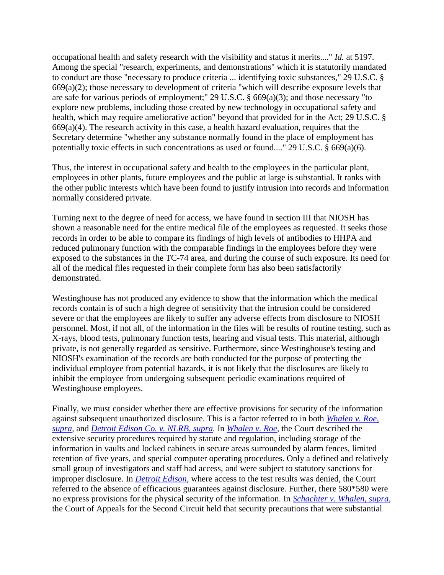occupational health and safety research with the visibility and status it merits...." *Id.* at 5197. Among the special "research, experiments, and demonstrations" which it is statutorily mandated to conduct are those "necessary to produce criteria ... identifying toxic substances," 29 U.S.C. § 669(a)(2); those necessary to development of criteria "which will describe exposure levels that are safe for various periods of employment;" 29 U.S.C. § 669(a)(3); and those necessary "to explore new problems, including those created by new technology in occupational safety and health, which may require ameliorative action" beyond that provided for in the Act; 29 U.S.C. §  $669(a)(4)$ . The research activity in this case, a health hazard evaluation, requires that the Secretary determine "whether any substance normally found in the place of employment has potentially toxic effects in such concentrations as used or found...." 29 U.S.C. § 669(a)(6).

Thus, the interest in occupational safety and health to the employees in the particular plant, employees in other plants, future employees and the public at large is substantial. It ranks with the other public interests which have been found to justify intrusion into records and information normally considered private.

Turning next to the degree of need for access, we have found in section III that NIOSH has shown a reasonable need for the entire medical file of the employees as requested. It seeks those records in order to be able to compare its findings of high levels of antibodies to HHPA and reduced pulmonary function with the comparable findings in the employees before they were exposed to the substances in the TC-74 area, and during the course of such exposure. Its need for all of the medical files requested in their complete form has also been satisfactorily demonstrated.

Westinghouse has not produced any evidence to show that the information which the medical records contain is of such a high degree of sensitivity that the intrusion could be considered severe or that the employees are likely to suffer any adverse effects from disclosure to NIOSH personnel. Most, if not all, of the information in the files will be results of routine testing, such as X-rays, blood tests, pulmonary function tests, hearing and visual tests. This material, although private, is not generally regarded as sensitive. Furthermore, since Westinghouse's testing and NIOSH's examination of the records are both conducted for the purpose of protecting the individual employee from potential hazards, it is not likely that the disclosures are likely to inhibit the employee from undergoing subsequent periodic examinations required of Westinghouse employees.

Finally, we must consider whether there are effective provisions for security of the information against subsequent unauthorized disclosure. This is a factor referred to in both *[Whalen v. Roe,](http://scholar.google.co.in/scholar_case?case=8555735987895894452&q=3rd+Cir+1980+-+United+States+v.+Westinghouse+Electric+Corporation&hl=en&as_sdt=2,5&scilh=0)  [supra,](http://scholar.google.co.in/scholar_case?case=8555735987895894452&q=3rd+Cir+1980+-+United+States+v.+Westinghouse+Electric+Corporation&hl=en&as_sdt=2,5&scilh=0)* and *[Detroit Edison Co. v. NLRB, supra.](http://scholar.google.co.in/scholar_case?case=7580024731208153061&q=3rd+Cir+1980+-+United+States+v.+Westinghouse+Electric+Corporation&hl=en&as_sdt=2,5&scilh=0)* In *[Whalen v. Roe,](http://scholar.google.co.in/scholar_case?case=8555735987895894452&q=3rd+Cir+1980+-+United+States+v.+Westinghouse+Electric+Corporation&hl=en&as_sdt=2,5&scilh=0)* the Court described the extensive security procedures required by statute and regulation, including storage of the information in vaults and locked cabinets in secure areas surrounded by alarm fences, limited retention of five years, and special computer operating procedures. Only a defined and relatively small group of investigators and staff had access, and were subject to statutory sanctions for improper disclosure. In *[Detroit Edison,](http://scholar.google.co.in/scholar_case?case=7580024731208153061&q=3rd+Cir+1980+-+United+States+v.+Westinghouse+Electric+Corporation&hl=en&as_sdt=2,5&scilh=0)* where access to the test results was denied, the Court referred to the absence of efficacious guarantees against disclosure. Further, there 580\*580 were no express provisions for the physical security of the information. In *[Schachter v. Whalen, supra,](http://scholar.google.co.in/scholar_case?case=7804584928645912923&q=3rd+Cir+1980+-+United+States+v.+Westinghouse+Electric+Corporation&hl=en&as_sdt=2,5&scilh=0)* the Court of Appeals for the Second Circuit held that security precautions that were substantial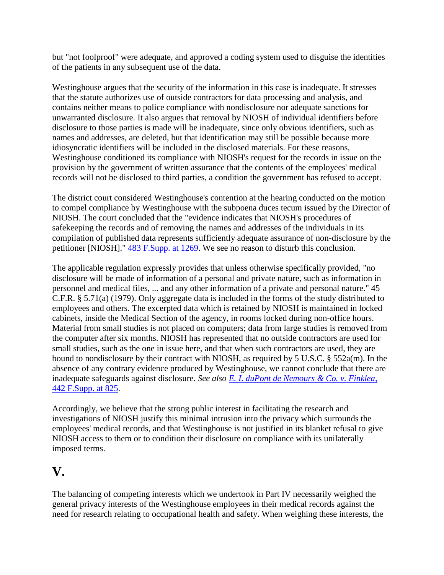but "not foolproof" were adequate, and approved a coding system used to disguise the identities of the patients in any subsequent use of the data.

Westinghouse argues that the security of the information in this case is inadequate. It stresses that the statute authorizes use of outside contractors for data processing and analysis, and contains neither means to police compliance with nondisclosure nor adequate sanctions for unwarranted disclosure. It also argues that removal by NIOSH of individual identifiers before disclosure to those parties is made will be inadequate, since only obvious identifiers, such as names and addresses, are deleted, but that identification may still be possible because more idiosyncratic identifiers will be included in the disclosed materials. For these reasons, Westinghouse conditioned its compliance with NIOSH's request for the records in issue on the provision by the government of written assurance that the contents of the employees' medical records will not be disclosed to third parties, a condition the government has refused to accept.

The district court considered Westinghouse's contention at the hearing conducted on the motion to compel compliance by Westinghouse with the subpoena duces tecum issued by the Director of NIOSH. The court concluded that the "evidence indicates that NIOSH's procedures of safekeeping the records and of removing the names and addresses of the individuals in its compilation of published data represents sufficiently adequate assurance of non-disclosure by the petitioner [NIOSH]." [483 F.Supp. at 1269.](http://scholar.google.co.in/scholar_case?case=9445794789248964695&q=3rd+Cir+1980+-+United+States+v.+Westinghouse+Electric+Corporation&hl=en&as_sdt=2,5&scilh=0) We see no reason to disturb this conclusion.

The applicable regulation expressly provides that unless otherwise specifically provided, "no disclosure will be made of information of a personal and private nature, such as information in personnel and medical files, ... and any other information of a private and personal nature." 45 C.F.R. § 5.71(a) (1979). Only aggregate data is included in the forms of the study distributed to employees and others. The excerpted data which is retained by NIOSH is maintained in locked cabinets, inside the Medical Section of the agency, in rooms locked during non-office hours. Material from small studies is not placed on computers; data from large studies is removed from the computer after six months. NIOSH has represented that no outside contractors are used for small studies, such as the one in issue here, and that when such contractors are used, they are bound to nondisclosure by their contract with NIOSH, as required by 5 U.S.C. § 552a(m). In the absence of any contrary evidence produced by Westinghouse, we cannot conclude that there are inadequate safeguards against disclosure. *See also [E. I. duPont de Nemours & Co. v. Finklea,](http://scholar.google.co.in/scholar_case?case=15484120327512437904&q=3rd+Cir+1980+-+United+States+v.+Westinghouse+Electric+Corporation&hl=en&as_sdt=2,5&scilh=0)* [442 F.Supp. at 825.](http://scholar.google.co.in/scholar_case?case=15484120327512437904&q=3rd+Cir+1980+-+United+States+v.+Westinghouse+Electric+Corporation&hl=en&as_sdt=2,5&scilh=0)

Accordingly, we believe that the strong public interest in facilitating the research and investigations of NIOSH justify this minimal intrusion into the privacy which surrounds the employees' medical records, and that Westinghouse is not justified in its blanket refusal to give NIOSH access to them or to condition their disclosure on compliance with its unilaterally imposed terms.

## **V.**

The balancing of competing interests which we undertook in Part IV necessarily weighed the general privacy interests of the Westinghouse employees in their medical records against the need for research relating to occupational health and safety. When weighing these interests, the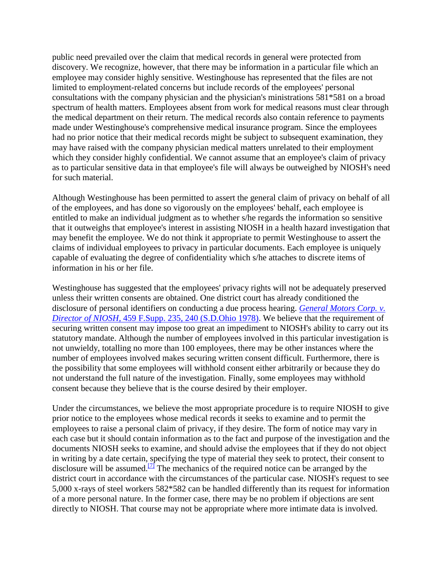public need prevailed over the claim that medical records in general were protected from discovery. We recognize, however, that there may be information in a particular file which an employee may consider highly sensitive. Westinghouse has represented that the files are not limited to employment-related concerns but include records of the employees' personal consultations with the company physician and the physician's ministrations 581\*581 on a broad spectrum of health matters. Employees absent from work for medical reasons must clear through the medical department on their return. The medical records also contain reference to payments made under Westinghouse's comprehensive medical insurance program. Since the employees had no prior notice that their medical records might be subject to subsequent examination, they may have raised with the company physician medical matters unrelated to their employment which they consider highly confidential. We cannot assume that an employee's claim of privacy as to particular sensitive data in that employee's file will always be outweighed by NIOSH's need for such material.

Although Westinghouse has been permitted to assert the general claim of privacy on behalf of all of the employees, and has done so vigorously on the employees' behalf, each employee is entitled to make an individual judgment as to whether s/he regards the information so sensitive that it outweighs that employee's interest in assisting NIOSH in a health hazard investigation that may benefit the employee. We do not think it appropriate to permit Westinghouse to assert the claims of individual employees to privacy in particular documents. Each employee is uniquely capable of evaluating the degree of confidentiality which s/he attaches to discrete items of information in his or her file.

Westinghouse has suggested that the employees' privacy rights will not be adequately preserved unless their written consents are obtained. One district court has already conditioned the disclosure of personal identifiers on conducting a due process hearing. *[General Motors Corp. v.](http://scholar.google.co.in/scholar_case?case=11692381941365084758&q=3rd+Cir+1980+-+United+States+v.+Westinghouse+Electric+Corporation&hl=en&as_sdt=2,5&scilh=0)  Director of NIOSH,* [459 F.Supp. 235, 240 \(S.D.Ohio 1978\).](http://scholar.google.co.in/scholar_case?case=11692381941365084758&q=3rd+Cir+1980+-+United+States+v.+Westinghouse+Electric+Corporation&hl=en&as_sdt=2,5&scilh=0) We believe that the requirement of securing written consent may impose too great an impediment to NIOSH's ability to carry out its statutory mandate. Although the number of employees involved in this particular investigation is not unwieldy, totalling no more than 100 employees, there may be other instances where the number of employees involved makes securing written consent difficult. Furthermore, there is the possibility that some employees will withhold consent either arbitrarily or because they do not understand the full nature of the investigation. Finally, some employees may withhold consent because they believe that is the course desired by their employer.

Under the circumstances, we believe the most appropriate procedure is to require NIOSH to give prior notice to the employees whose medical records it seeks to examine and to permit the employees to raise a personal claim of privacy, if they desire. The form of notice may vary in each case but it should contain information as to the fact and purpose of the investigation and the documents NIOSH seeks to examine, and should advise the employees that if they do not object in writing by a date certain, specifying the type of material they seek to protect, their consent to disclosure will be assumed.<sup>[\[7\]](http://scholar.google.co.in/scholar_case?q=3rd+Cir+1980+-+United+States+v.+Westinghouse+Electric+Corporation&hl=en&as_sdt=2,5&case=10617585320101639909&scilh=0#[7])</sup> The mechanics of the required notice can be arranged by the district court in accordance with the circumstances of the particular case. NIOSH's request to see 5,000 x-rays of steel workers 582\*582 can be handled differently than its request for information of a more personal nature. In the former case, there may be no problem if objections are sent directly to NIOSH. That course may not be appropriate where more intimate data is involved.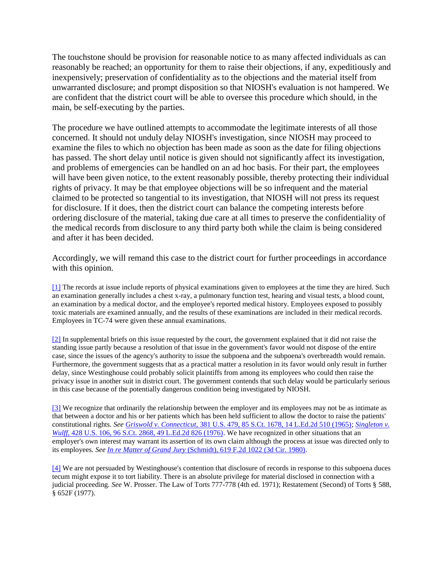The touchstone should be provision for reasonable notice to as many affected individuals as can reasonably be reached; an opportunity for them to raise their objections, if any, expeditiously and inexpensively; preservation of confidentiality as to the objections and the material itself from unwarranted disclosure; and prompt disposition so that NIOSH's evaluation is not hampered. We are confident that the district court will be able to oversee this procedure which should, in the main, be self-executing by the parties.

The procedure we have outlined attempts to accommodate the legitimate interests of all those concerned. It should not unduly delay NIOSH's investigation, since NIOSH may proceed to examine the files to which no objection has been made as soon as the date for filing objections has passed. The short delay until notice is given should not significantly affect its investigation, and problems of emergencies can be handled on an ad hoc basis. For their part, the employees will have been given notice, to the extent reasonably possible, thereby protecting their individual rights of privacy. It may be that employee objections will be so infrequent and the material claimed to be protected so tangential to its investigation, that NIOSH will not press its request for disclosure. If it does, then the district court can balance the competing interests before ordering disclosure of the material, taking due care at all times to preserve the confidentiality of the medical records from disclosure to any third party both while the claim is being considered and after it has been decided.

Accordingly, we will remand this case to the district court for further proceedings in accordance with this opinion.

[\[1\]](http://scholar.google.co.in/scholar_case?q=3rd+Cir+1980+-+United+States+v.+Westinghouse+Electric+Corporation&hl=en&as_sdt=2,5&case=10617585320101639909&scilh=0#r[1]) The records at issue include reports of physical examinations given to employees at the time they are hired. Such an examination generally includes a chest x-ray, a pulmonary function test, hearing and visual tests, a blood count, an examination by a medical doctor, and the employee's reported medical history. Employees exposed to possibly toxic materials are examined annually, and the results of these examinations are included in their medical records. Employees in TC-74 were given these annual examinations.

[\[2\]](http://scholar.google.co.in/scholar_case?q=3rd+Cir+1980+-+United+States+v.+Westinghouse+Electric+Corporation&hl=en&as_sdt=2,5&case=10617585320101639909&scilh=0#r[2]) In supplemental briefs on this issue requested by the court, the government explained that it did not raise the standing issue partly because a resolution of that issue in the government's favor would not dispose of the entire case, since the issues of the agency's authority to issue the subpoena and the subpoena's overbreadth would remain. Furthermore, the government suggests that as a practical matter a resolution in its favor would only result in further delay, since Westinghouse could probably solicit plaintiffs from among its employees who could then raise the privacy issue in another suit in district court. The government contends that such delay would be particularly serious in this case because of the potentially dangerous condition being investigated by NIOSH.

[\[3\]](http://scholar.google.co.in/scholar_case?q=3rd+Cir+1980+-+United+States+v.+Westinghouse+Electric+Corporation&hl=en&as_sdt=2,5&case=10617585320101639909&scilh=0#r[3]) We recognize that ordinarily the relationship between the employer and its employees may not be as intimate as that between a doctor and his or her patients which has been held sufficient to allow the doctor to raise the patients' constitutional rights. *See Griswold v. Connecticut,* [381 U.S. 479, 85 S.Ct. 1678, 14 L.Ed.2d 510 \(1965\);](http://scholar.google.co.in/scholar_case?case=12276922145000050979&q=3rd+Cir+1980+-+United+States+v.+Westinghouse+Electric+Corporation&hl=en&as_sdt=2,5&scilh=0) *[Singleton v.](http://scholar.google.co.in/scholar_case?case=16620691888255927253&q=3rd+Cir+1980+-+United+States+v.+Westinghouse+Electric+Corporation&hl=en&as_sdt=2,5&scilh=0)  Wulff,* [428 U.S. 106, 96 S.Ct. 2868, 49 L.Ed.2d 826 \(1976\).](http://scholar.google.co.in/scholar_case?case=16620691888255927253&q=3rd+Cir+1980+-+United+States+v.+Westinghouse+Electric+Corporation&hl=en&as_sdt=2,5&scilh=0) We have recognized in other situations that an employer's own interest may warrant its assertion of its own claim although the process at issue was directed only to its employees. *See In re Matter of Grand Jury* [\(Schmidt\), 619 F.2d 1022 \(3d Cir. 1980\).](http://scholar.google.co.in/scholar_case?case=2652199322468989995&q=3rd+Cir+1980+-+United+States+v.+Westinghouse+Electric+Corporation&hl=en&as_sdt=2,5&scilh=0)

[\[4\]](http://scholar.google.co.in/scholar_case?q=3rd+Cir+1980+-+United+States+v.+Westinghouse+Electric+Corporation&hl=en&as_sdt=2,5&case=10617585320101639909&scilh=0#r[4]) We are not persuaded by Westinghouse's contention that disclosure of records in response to this subpoena duces tecum might expose it to tort liability. There is an absolute privilege for material disclosed in connection with a judicial proceeding. *See* W. Prosser. The Law of Torts 777-778 (4th ed. 1971); Restatement (Second) of Torts § 588, § 652F (1977).